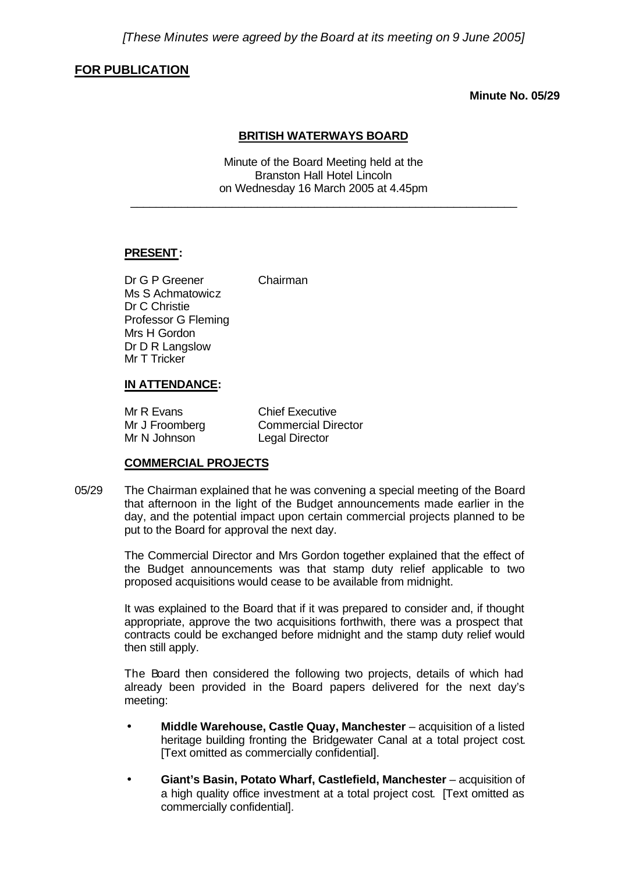## **FOR PUBLICATION**

**Minute No. 05/29**

### **BRITISH WATERWAYS BOARD**

Minute of the Board Meeting held at the Branston Hall Hotel Lincoln on Wednesday 16 March 2005 at 4.45pm

\_\_\_\_\_\_\_\_\_\_\_\_\_\_\_\_\_\_\_\_\_\_\_\_\_\_\_\_\_\_\_\_\_\_\_\_\_\_\_\_\_\_\_\_\_\_\_\_\_\_\_\_\_\_\_\_\_\_\_\_\_

## **PRESENT:**

Dr G P Greener Chairman Ms S Achmatowicz Dr C Christie Professor G Fleming Mrs H Gordon Dr D R Langslow Mr T Tricker

**IN ATTENDANCE:**

# Mr R Evans Chief Executive

| Mr R Evans     | Chief Executive            |
|----------------|----------------------------|
| Mr J Froomberg | <b>Commercial Director</b> |
| Mr N Johnson   | <b>Legal Director</b>      |

## **COMMERCIAL PROJECTS**

05/29 The Chairman explained that he was convening a special meeting of the Board that afternoon in the light of the Budget announcements made earlier in the day, and the potential impact upon certain commercial projects planned to be put to the Board for approval the next day.

> The Commercial Director and Mrs Gordon together explained that the effect of the Budget announcements was that stamp duty relief applicable to two proposed acquisitions would cease to be available from midnight.

> It was explained to the Board that if it was prepared to consider and, if thought appropriate, approve the two acquisitions forthwith, there was a prospect that contracts could be exchanged before midnight and the stamp duty relief would then still apply.

> The Board then considered the following two projects, details of which had already been provided in the Board papers delivered for the next day's meeting:

- **Middle Warehouse, Castle Quay, Manchester** acquisition of a listed heritage building fronting the Bridgewater Canal at a total project cost. [Text omitted as commercially confidential].
- **Giant's Basin, Potato Wharf, Castlefield, Manchester** acquisition of a high quality office investment at a total project cost. [Text omitted as commercially confidential].